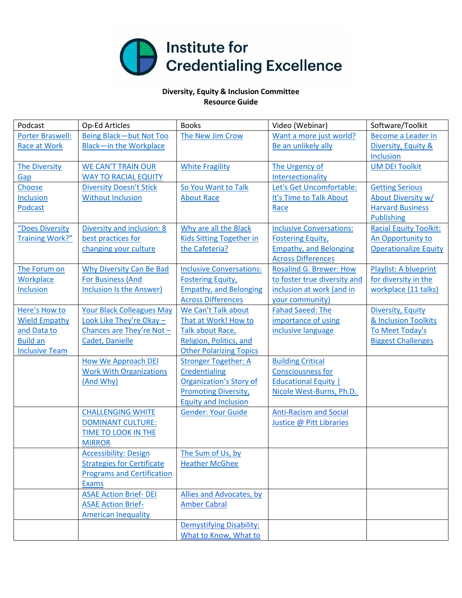

## **Diversity, Equity & Inclusion Committee Resource Guide**

| Podcast                 | Op-Ed Articles                    | <b>Books</b>                    | Video (Webinar)                 | Software/Toolkit              |
|-------------------------|-----------------------------------|---------------------------------|---------------------------------|-------------------------------|
| <b>Porter Braswell:</b> | Being Black-but Not Too           | The New Jim Crow                | Want a more just world?         | Become a Leader in            |
| Race at Work            | <b>Black-in the Workplace</b>     |                                 | Be an unlikely ally             | Diversity, Equity &           |
|                         |                                   |                                 |                                 | <b>Inclusion</b>              |
| <b>The Diversity</b>    | <b>WE CAN'T TRAIN OUR</b>         | <b>White Fragility</b>          | The Urgency of                  | <b>UM DEI Toolkit</b>         |
| Gap                     | <b>WAY TO RACIAL EQUITY</b>       |                                 | Intersectionality               |                               |
| Choose                  | <b>Diversity Doesn't Stick</b>    | So You Want to Talk             | Let's Get Uncomfortable:        | <b>Getting Serious</b>        |
| <b>Inclusion</b>        | <b>Without Inclusion</b>          | <b>About Race</b>               | It's Time to Talk About         | About Diversity w/            |
| Podcast                 |                                   |                                 | Race                            | <b>Harvard Business</b>       |
|                         |                                   |                                 |                                 | <b>Publishing</b>             |
| "Does Diversity         | Diversity and inclusion: 8        | Why are all the Black           | <b>Inclusive Conversations:</b> | <b>Racial Equity Toolkit:</b> |
| <b>Training Work?"</b>  | best practices for                | Kids Sitting Together in        | <b>Fostering Equity</b> ,       | An Opportunity to             |
|                         | changing your culture             | the Cafeteria?                  | <b>Empathy, and Belonging</b>   | <b>Operationalize Equity</b>  |
|                         |                                   |                                 | <b>Across Differences</b>       |                               |
| The Forum on            | Why Diversity Can Be Bad          | <b>Inclusive Conversations:</b> | <b>Rosalind G. Brewer: How</b>  | <b>Playlist: A blueprint</b>  |
| Workplace               | <b>For Business (And</b>          | <b>Fostering Equity,</b>        | to foster true diversity and    | for diversity in the          |
| <b>Inclusion</b>        | Inclusion Is the Answer)          | <b>Empathy, and Belonging</b>   | inclusion at work (and in       | workplace (11 talks)          |
|                         |                                   | <b>Across Differences</b>       | your community)                 |                               |
| Here's How to           | <b>Your Black Colleagues May</b>  | We Can't Talk about             | <b>Fahad Saeed: The</b>         | Diversity, Equity             |
| <b>Wield Empathy</b>    | Look Like They're Okay -          | That at Work! How to            | importance of using             | & Inclusion Toolkits          |
| and Data to             | Chances are They're Not-          | Talk about Race,                | inclusive language              | To Meet Today's               |
| <b>Build an</b>         | Cadet, Danielle                   | Religion, Politics, and         |                                 | <b>Biggest Challenges</b>     |
| <b>Inclusive Team</b>   |                                   | <b>Other Polarizing Topics</b>  |                                 |                               |
|                         | <b>How We Approach DEI</b>        | <b>Stronger Together: A</b>     | <b>Building Critical</b>        |                               |
|                         | <b>Work With Organizations</b>    | Credentialing                   | <b>Consciousness for</b>        |                               |
|                         | (And Why)                         | <b>Organization's Story of</b>  | <b>Educational Equity  </b>     |                               |
|                         |                                   | <b>Promoting Diversity,</b>     | Nicole West-Burns, Ph.D.        |                               |
|                         |                                   | <b>Equity and Inclusion</b>     |                                 |                               |
|                         | <b>CHALLENGING WHITE</b>          | <b>Gender: Your Guide</b>       | <b>Anti-Racism and Social</b>   |                               |
|                         | <b>DOMINANT CULTURE:</b>          |                                 | Justice @ Pitt Libraries        |                               |
|                         | TIME TO LOOK IN THE               |                                 |                                 |                               |
|                         | <b>MIRROR</b>                     |                                 |                                 |                               |
|                         | <b>Accessibility: Design</b>      | The Sum of Us, by               |                                 |                               |
|                         | <b>Strategies for Certificate</b> | <b>Heather McGhee</b>           |                                 |                               |
|                         | <b>Programs and Certification</b> |                                 |                                 |                               |
|                         | Exams                             |                                 |                                 |                               |
|                         | <b>ASAE Action Brief- DEI</b>     | Allies and Advocates, by        |                                 |                               |
|                         | <b>ASAE Action Brief-</b>         | <b>Amber Cabral</b>             |                                 |                               |
|                         | <b>American Inequality</b>        |                                 |                                 |                               |
|                         |                                   | <b>Demystifying Disability:</b> |                                 |                               |
|                         |                                   | What to Know, What to           |                                 |                               |